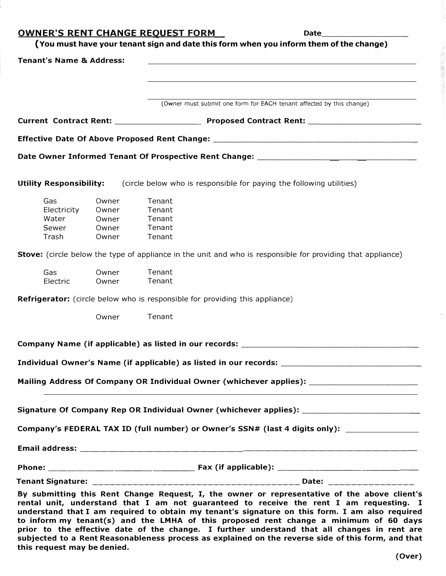**AINED'S DENT CHANGE DEQUEST EODM** 

|                                     |       | <u>UWNER'S RENT CHANGE REQUEST FORM.</u><br>Date<br>(You must have your tenant sign and date this form when you inform them of the change)                                                                                                                                                                                                                                                                                                                                                                                                                                               |  |
|-------------------------------------|-------|------------------------------------------------------------------------------------------------------------------------------------------------------------------------------------------------------------------------------------------------------------------------------------------------------------------------------------------------------------------------------------------------------------------------------------------------------------------------------------------------------------------------------------------------------------------------------------------|--|
| <b>Tenant's Name &amp; Address:</b> |       |                                                                                                                                                                                                                                                                                                                                                                                                                                                                                                                                                                                          |  |
|                                     |       |                                                                                                                                                                                                                                                                                                                                                                                                                                                                                                                                                                                          |  |
|                                     |       |                                                                                                                                                                                                                                                                                                                                                                                                                                                                                                                                                                                          |  |
|                                     |       | (Owner must submit one form for EACH tenant affected by this change)                                                                                                                                                                                                                                                                                                                                                                                                                                                                                                                     |  |
|                                     |       |                                                                                                                                                                                                                                                                                                                                                                                                                                                                                                                                                                                          |  |
|                                     |       |                                                                                                                                                                                                                                                                                                                                                                                                                                                                                                                                                                                          |  |
|                                     |       |                                                                                                                                                                                                                                                                                                                                                                                                                                                                                                                                                                                          |  |
| <b>Utility Responsibility:</b>      |       | (circle below who is responsible for paying the following utilities)                                                                                                                                                                                                                                                                                                                                                                                                                                                                                                                     |  |
| Gas                                 | Owner | Tenant                                                                                                                                                                                                                                                                                                                                                                                                                                                                                                                                                                                   |  |
| Electricity                         | Owner | Tenant                                                                                                                                                                                                                                                                                                                                                                                                                                                                                                                                                                                   |  |
| Water                               | Owner | Tenant                                                                                                                                                                                                                                                                                                                                                                                                                                                                                                                                                                                   |  |
| Sewer                               | Owner | Tenant                                                                                                                                                                                                                                                                                                                                                                                                                                                                                                                                                                                   |  |
| Trash                               | Owner | Tenant                                                                                                                                                                                                                                                                                                                                                                                                                                                                                                                                                                                   |  |
|                                     |       | Stove: (circle below the type of appliance in the unit and who is responsible for providing that appliance)                                                                                                                                                                                                                                                                                                                                                                                                                                                                              |  |
| Gas                                 | Owner | Tenant                                                                                                                                                                                                                                                                                                                                                                                                                                                                                                                                                                                   |  |
| Electric                            | Owner | Tenant                                                                                                                                                                                                                                                                                                                                                                                                                                                                                                                                                                                   |  |
|                                     |       | <b>Refrigerator:</b> (circle below who is responsible for providing this appliance)                                                                                                                                                                                                                                                                                                                                                                                                                                                                                                      |  |
|                                     | Owner | Tenant                                                                                                                                                                                                                                                                                                                                                                                                                                                                                                                                                                                   |  |
|                                     |       | Company Name (if applicable) as listed in our records: _________________________                                                                                                                                                                                                                                                                                                                                                                                                                                                                                                         |  |
|                                     |       | Individual Owner's Name (if applicable) as listed in our records: _________________________________                                                                                                                                                                                                                                                                                                                                                                                                                                                                                      |  |
|                                     |       | Mailing Address Of Company OR Individual Owner (whichever applies):                                                                                                                                                                                                                                                                                                                                                                                                                                                                                                                      |  |
|                                     |       | Signature Of Company Rep OR Individual Owner (whichever applies): _____________________                                                                                                                                                                                                                                                                                                                                                                                                                                                                                                  |  |
|                                     |       | Company's FEDERAL TAX ID (full number) or Owner's SSN# (last 4 digits only): ______________________                                                                                                                                                                                                                                                                                                                                                                                                                                                                                      |  |
|                                     |       |                                                                                                                                                                                                                                                                                                                                                                                                                                                                                                                                                                                          |  |
|                                     |       |                                                                                                                                                                                                                                                                                                                                                                                                                                                                                                                                                                                          |  |
|                                     |       |                                                                                                                                                                                                                                                                                                                                                                                                                                                                                                                                                                                          |  |
| this request may be denied.         |       | By submitting this Rent Change Request, I, the owner or representative of the above client's<br>rental unit, understand that I am not guaranteed to receive the rent I am requesting. I<br>understand that I am required to obtain my tenant's signature on this form. I am also required<br>to inform my tenant(s) and the LMHA of this proposed rent change a minimum of 60 days<br>prior to the effective date of the change. I further understand that all changes in rent are<br>subjected to a Rent Reasonableness process as explained on the reverse side of this form, and that |  |